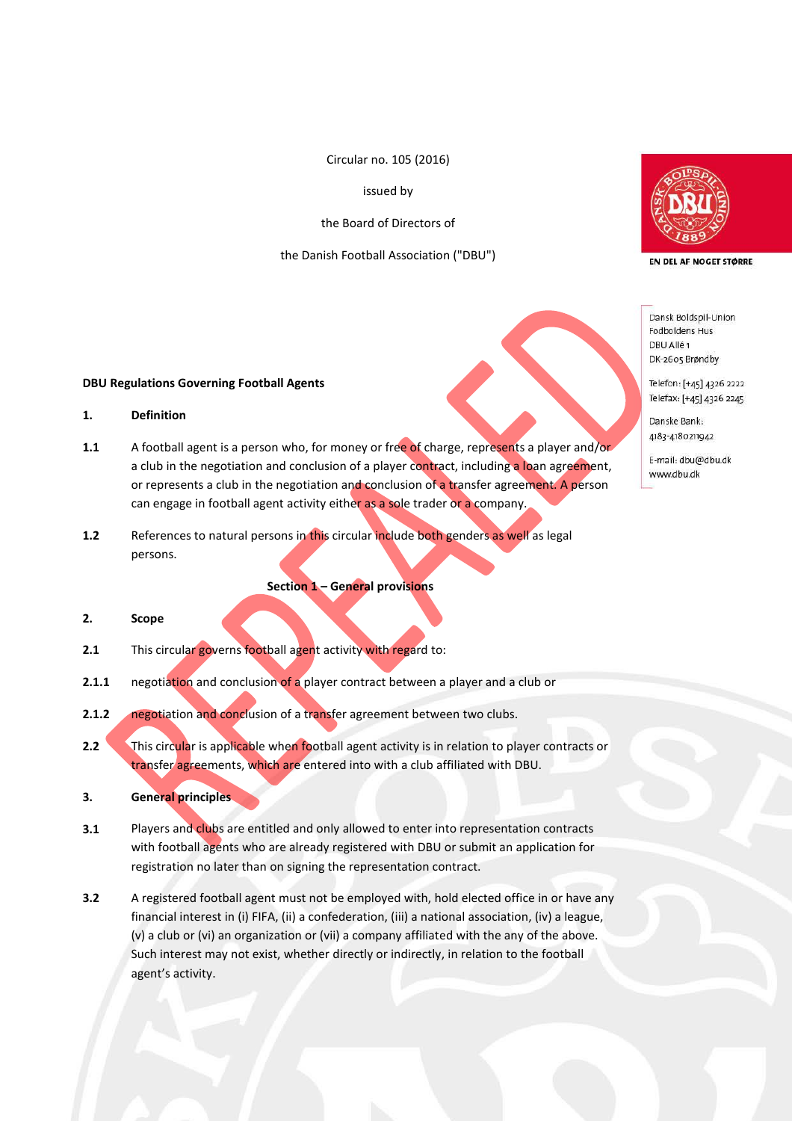Circular no. 105 (2016)

issued by

the Board of Directors of

the Danish Football Association ("DBU")



EN DEL AF NOGET STØRRE

Dansk Boldspil-Union Fodboldens Hus DBU Allé 1 DK-2605 Brøndby

Telefon: [+45] 4326 2222 Telefax: [+45] 4326 2245

Danske Bank: 4183-4180211942

E-mail: dbu@dbu.dk www.dbu.dk

#### **DBU Regulations Governing Football Agents**

# **1. Definition**

- **1.1** A football agent is a person who, for money or free of charge, represents a player and/or a club in the negotiation and conclusion of a player contract, including a loan agreement, or represents a club in the negotiation and conclusion of a transfer agreement. A person can engage in football agent activity either as a sole trader or a company.
- **1.2** References to natural persons in this circular include both genders as well as legal persons.

**Section 1 – General provisions**

# **2. Scope**

- **2.1** This circular governs football agent activity with regard to:
- **2.1.1** negotiation and conclusion of a player contract between a player and a club or
- **2.1.2** negotiation and conclusion of a transfer agreement between two clubs.
- **2.2** This circular is applicable when football agent activity is in relation to player contracts or transfer agreements, which are entered into with a club affiliated with DBU.
- **3. General principles**
- **3.1** Players and clubs are entitled and only allowed to enter into representation contracts with football agents who are already registered with DBU or submit an application for registration no later than on signing the representation contract.
- **3.2** A registered football agent must not be employed with, hold elected office in or have any financial interest in (i) FIFA, (ii) a confederation, (iii) a national association, (iv) a league, (v) a club or (vi) an organization or (vii) a company affiliated with the any of the above. Such interest may not exist, whether directly or indirectly, in relation to the football agent's activity.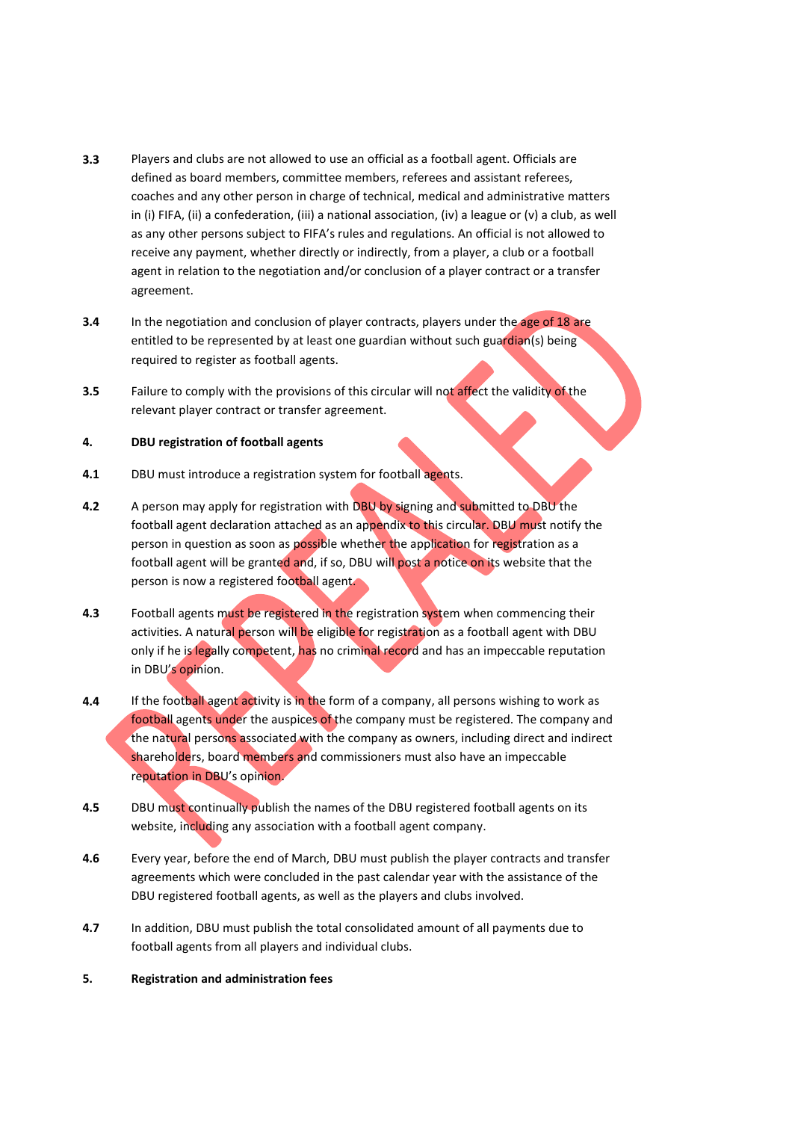- **3.3** Players and clubs are not allowed to use an official as a football agent. Officials are defined as board members, committee members, referees and assistant referees, coaches and any other person in charge of technical, medical and administrative matters in (i) FIFA, (ii) a confederation, (iii) a national association, (iv) a league or (v) a club, as well as any other persons subject to FIFA's rules and regulations. An official is not allowed to receive any payment, whether directly or indirectly, from a player, a club or a football agent in relation to the negotiation and/or conclusion of a player contract or a transfer agreement.
- **3.4** In the negotiation and conclusion of player contracts, players under the age of 18 are entitled to be represented by at least one guardian without such guardian(s) being required to register as football agents.
- **3.5** Failure to comply with the provisions of this circular will not affect the validity of the relevant player contract or transfer agreement.

## **4. DBU registration of football agents**

- **4.1** DBU must introduce a registration system for football agents.
- **4.2** A person may apply for registration with DBU by signing and submitted to DBU the football agent declaration attached as an appendix to this circular. DBU must notify the person in question as soon as possible whether the application for registration as a football agent will be granted and, if so, DBU will post a notice on its website that the person is now a registered football agent.
- **4.3** Football agents must be registered in the registration system when commencing their activities. A natural person will be eligible for registration as a football agent with DBU only if he is legally competent, has no criminal record and has an impeccable reputation in DBU's opinion.
- **4.4** If the football agent activity is in the form of a company, all persons wishing to work as football agents under the auspices of the company must be registered. The company and the natural persons associated with the company as owners, including direct and indirect shareholders, board members and commissioners must also have an impeccable reputation in DBU's opinion.
- **4.5** DBU must continually publish the names of the DBU registered football agents on its website, including any association with a football agent company.
- **4.6** Every year, before the end of March, DBU must publish the player contracts and transfer agreements which were concluded in the past calendar year with the assistance of the DBU registered football agents, as well as the players and clubs involved.
- **4.7** In addition, DBU must publish the total consolidated amount of all payments due to football agents from all players and individual clubs.
- **5. Registration and administration fees**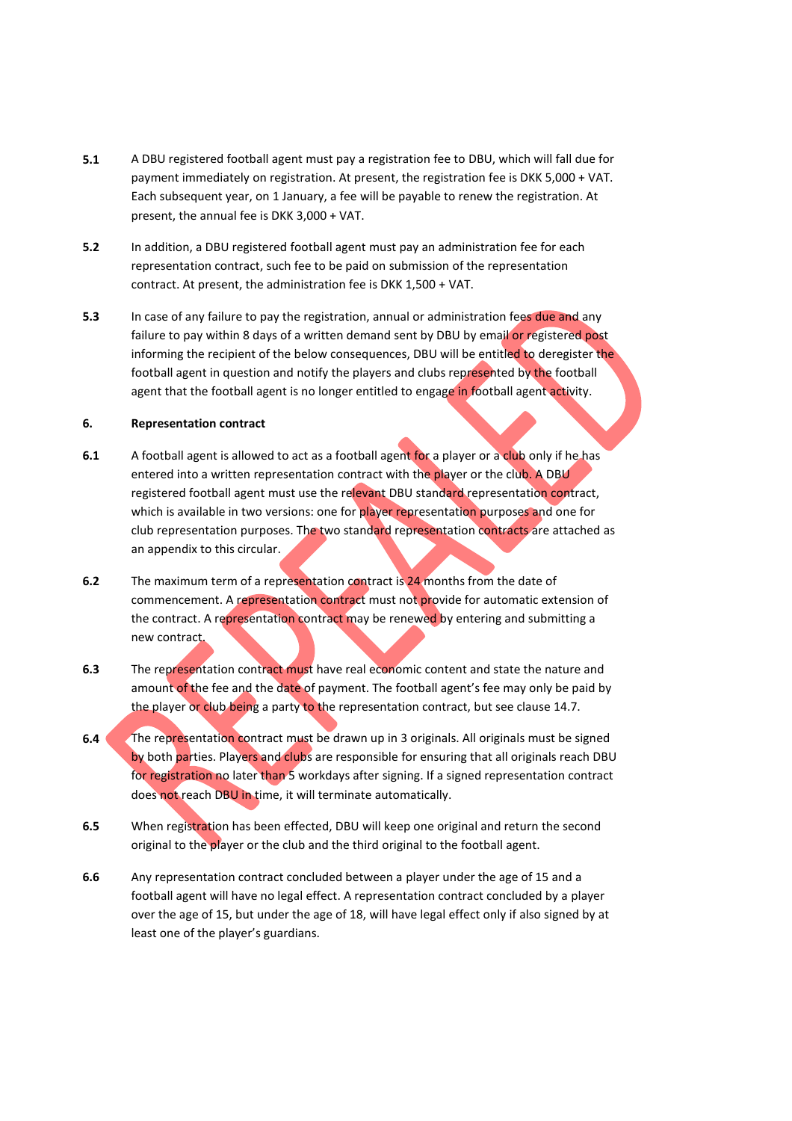- **5.1** A DBU registered football agent must pay a registration fee to DBU, which will fall due for payment immediately on registration. At present, the registration fee is DKK 5,000 + VAT. Each subsequent year, on 1 January, a fee will be payable to renew the registration. At present, the annual fee is DKK 3,000 + VAT.
- **5.2** In addition, a DBU registered football agent must pay an administration fee for each representation contract, such fee to be paid on submission of the representation contract. At present, the administration fee is DKK 1,500 + VAT.
- **5.3** In case of any failure to pay the registration, annual or administration fees due and any failure to pay within 8 days of a written demand sent by DBU by email or registered post informing the recipient of the below consequences, DBU will be entitled to deregister the football agent in question and notify the players and clubs represented by the football agent that the football agent is no longer entitled to engage in football agent activity.

## **6. Representation contract**

- **6.1** A football agent is allowed to act as a football agent for a player or a club only if he has entered into a written representation contract with the player or the club. A DBU registered football agent must use the relevant DBU standard representation contract, which is available in two versions: one for player representation purposes and one for club representation purposes. The two standard representation contracts are attached as an appendix to this circular.
- **6.2** The maximum term of a representation contract is 24 months from the date of commencement. A representation contract must not provide for automatic extension of the contract. A representation contract may be renewed by entering and submitting a new contract.
- **6.3** The representation contract must have real economic content and state the nature and amount of the fee and the date of payment. The football agent's fee may only be paid by the player or club being a party to the representation contract, but see clause 14.7.
- **6.4** The representation contract must be drawn up in 3 originals. All originals must be signed by both parties. Players and clubs are responsible for ensuring that all originals reach DBU for registration no later than 5 workdays after signing. If a signed representation contract does not reach DBU in time, it will terminate automatically.
- **6.5** When registration has been effected, DBU will keep one original and return the second original to the player or the club and the third original to the football agent.
- **6.6** Any representation contract concluded between a player under the age of 15 and a football agent will have no legal effect. A representation contract concluded by a player over the age of 15, but under the age of 18, will have legal effect only if also signed by at least one of the player's guardians.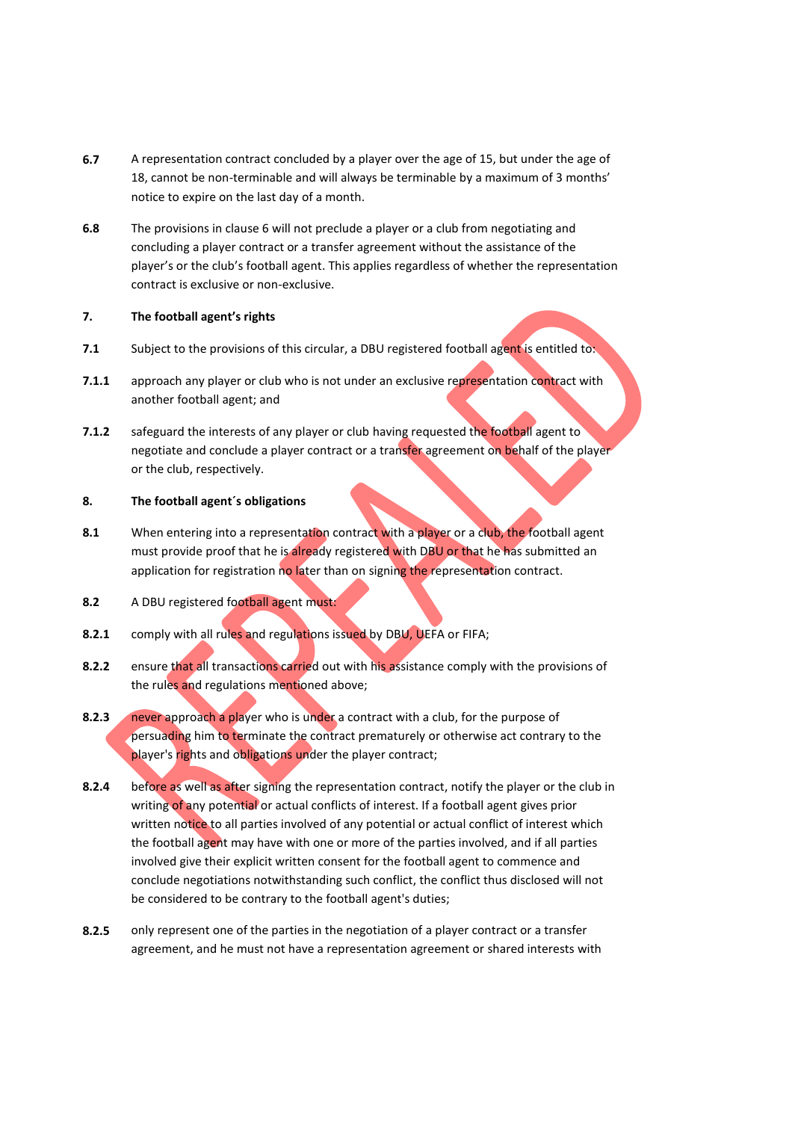- **6.7** A representation contract concluded by a player over the age of 15, but under the age of 18, cannot be non-terminable and will always be terminable by a maximum of 3 months' notice to expire on the last day of a month.
- **6.8** The provisions in clause 6 will not preclude a player or a club from negotiating and concluding a player contract or a transfer agreement without the assistance of the player's or the club's football agent. This applies regardless of whether the representation contract is exclusive or non-exclusive.

## **7. The football agent's rights**

- **7.1** Subject to the provisions of this circular, a DBU registered football agent is entitled to:
- **7.1.1** approach any player or club who is not under an exclusive representation contract with another football agent; and
- **7.1.2** safeguard the interests of any player or club having requested the football agent to negotiate and conclude a player contract or a transfer agreement on behalf of the player or the club, respectively.

# **8. The football agent´s obligations**

- **8.1** When entering into a representation contract with a player or a club, the football agent must provide proof that he is already registered with DBU or that he has submitted an application for registration no later than on signing the representation contract.
- **8.2** A DBU registered football agent must:
- **8.2.1** comply with all rules and regulations issued by DBU, UEFA or FIFA;
- **8.2.2** ensure that all transactions carried out with his assistance comply with the provisions of the rules and regulations mentioned above;
- **8.2.3** never approach a player who is under a contract with a club, for the purpose of persuading him to terminate the contract prematurely or otherwise act contrary to the player's rights and obligations under the player contract;
- **8.2.4** before as well as after signing the representation contract, notify the player or the club in writing of any potential or actual conflicts of interest. If a football agent gives prior written notice to all parties involved of any potential or actual conflict of interest which the football agent may have with one or more of the parties involved, and if all parties involved give their explicit written consent for the football agent to commence and conclude negotiations notwithstanding such conflict, the conflict thus disclosed will not be considered to be contrary to the football agent's duties;
- **8.2.5** only represent one of the parties in the negotiation of a player contract or a transfer agreement, and he must not have a representation agreement or shared interests with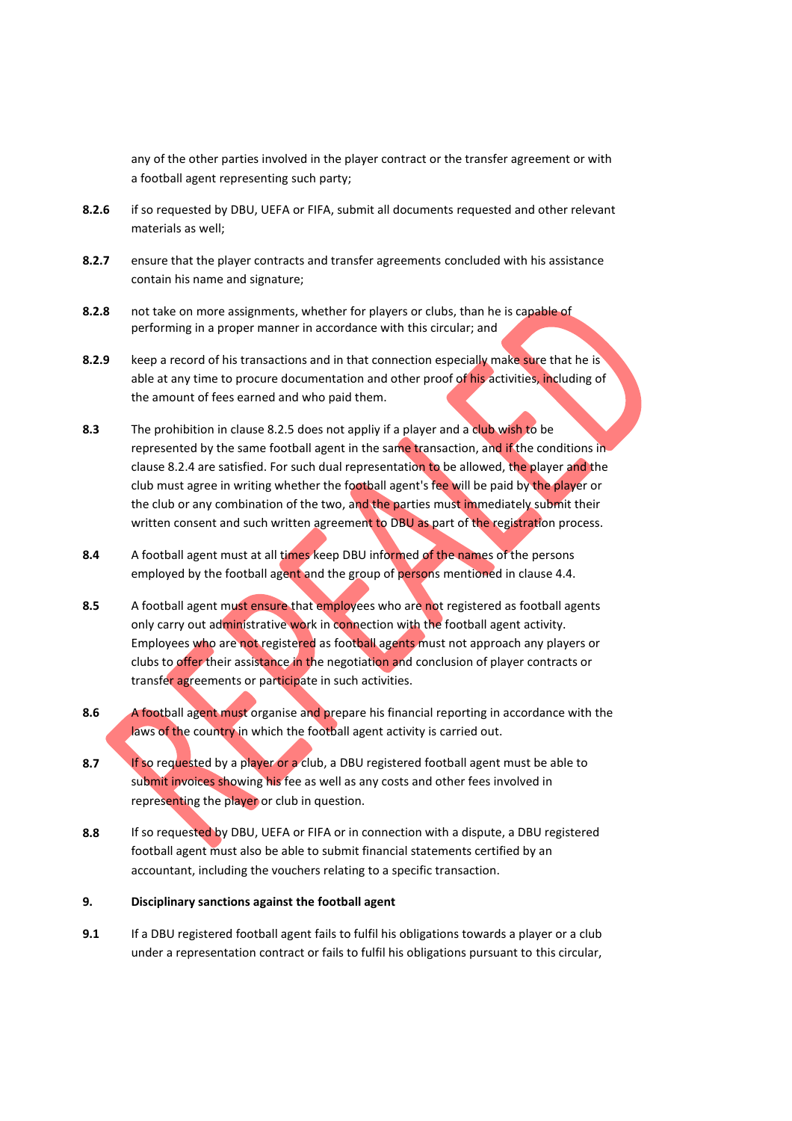any of the other parties involved in the player contract or the transfer agreement or with a football agent representing such party;

- **8.2.6** if so requested by DBU, UEFA or FIFA, submit all documents requested and other relevant materials as well;
- **8.2.7** ensure that the player contracts and transfer agreements concluded with his assistance contain his name and signature;
- **8.2.8** not take on more assignments, whether for players or clubs, than he is capable of performing in a proper manner in accordance with this circular; and
- **8.2.9** keep a record of his transactions and in that connection especially make sure that he is able at any time to procure documentation and other proof of his activities, including of the amount of fees earned and who paid them.
- **8.3** The prohibition in clause 8.2.5 does not appliy if a player and a club wish to be represented by the same football agent in the same transaction, and if the conditions in clause 8.2.4 are satisfied. For such dual representation to be allowed, the player and the club must agree in writing whether the football agent's fee will be paid by the player or the club or any combination of the two, and the parties must immediately submit their written consent and such written agreement to DBU as part of the registration process.
- **8.4** A football agent must at all times keep DBU informed of the names of the persons employed by the football agent and the group of persons mentioned in clause 4.4.
- **8.5** A football agent must ensure that employees who are not registered as football agents only carry out administrative work in connection with the football agent activity. Employees who are not registered as football agents must not approach any players or clubs to offer their assistance in the negotiation and conclusion of player contracts or transfer agreements or participate in such activities.
- **8.6** A football agent must organise and prepare his financial reporting in accordance with the laws of the country in which the football agent activity is carried out.
- **8.7** If so requested by a player or a club, a DBU registered football agent must be able to submit invoices showing his fee as well as any costs and other fees involved in representing the player or club in question.
- **8.8** If so requested by DBU, UEFA or FIFA or in connection with a dispute, a DBU registered football agent must also be able to submit financial statements certified by an accountant, including the vouchers relating to a specific transaction.

# **9. Disciplinary sanctions against the football agent**

**9.1** If a DBU registered football agent fails to fulfil his obligations towards a player or a club under a representation contract or fails to fulfil his obligations pursuant to this circular,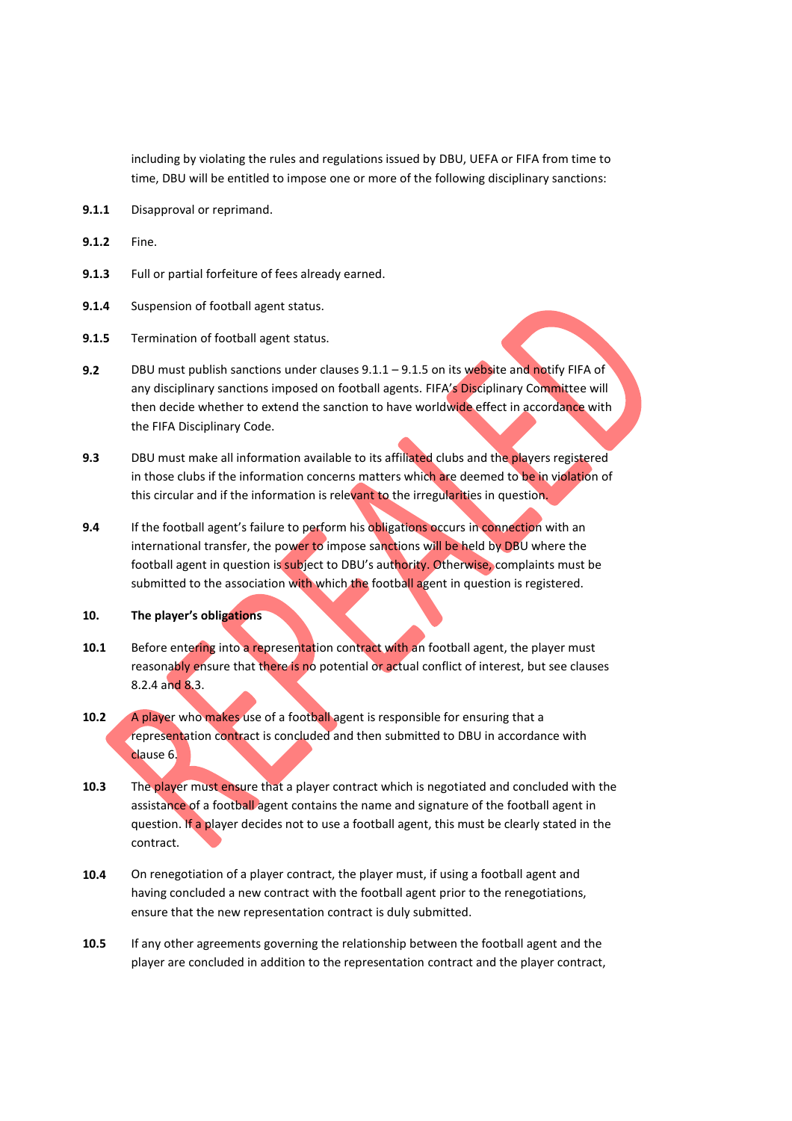including by violating the rules and regulations issued by DBU, UEFA or FIFA from time to time, DBU will be entitled to impose one or more of the following disciplinary sanctions:

- **9.1.1** Disapproval or reprimand.
- **9.1.2** Fine.
- **9.1.3** Full or partial forfeiture of fees already earned.
- **9.1.4** Suspension of football agent status.
- **9.1.5** Termination of football agent status.
- **9.2** DBU must publish sanctions under clauses 9.1.1 9.1.5 on its website and notify FIFA of any disciplinary sanctions imposed on football agents. FIFA's Disciplinary Committee will then decide whether to extend the sanction to have worldwide effect in accordance with the FIFA Disciplinary Code.
- **9.3** DBU must make all information available to its affiliated clubs and the players registered in those clubs if the information concerns matters which are deemed to be in violation of this circular and if the information is relevant to the irregularities in question.
- **9.4** If the football agent's failure to perform his obligations occurs in connection with an international transfer, the power to impose sanctions will be held by DBU where the football agent in question is subject to DBU's authority. Otherwise, complaints must be submitted to the association with which the football agent in question is registered.
- **10. The player's obligations**
- 10.1 Before entering into a representation contract with an football agent, the player must reasonably ensure that there is no potential or actual conflict of interest, but see clauses 8.2.4 and 8.3.
- **10.2** A player who makes use of a football agent is responsible for ensuring that a representation contract is concluded and then submitted to DBU in accordance with clause 6.
- **10.3** The player must ensure that a player contract which is negotiated and concluded with the assistance of a football agent contains the name and signature of the football agent in question. If a player decides not to use a football agent, this must be clearly stated in the contract.
- **10.4** On renegotiation of a player contract, the player must, if using a football agent and having concluded a new contract with the football agent prior to the renegotiations, ensure that the new representation contract is duly submitted.
- **10.5** If any other agreements governing the relationship between the football agent and the player are concluded in addition to the representation contract and the player contract,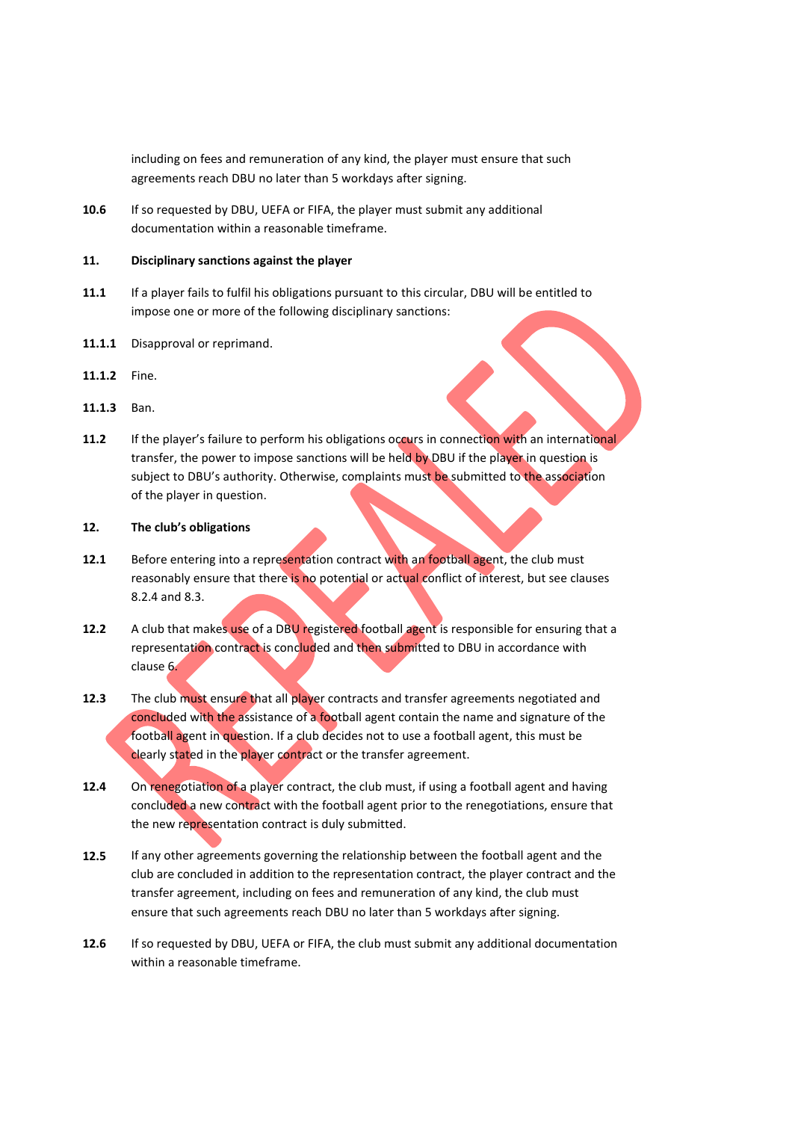including on fees and remuneration of any kind, the player must ensure that such agreements reach DBU no later than 5 workdays after signing.

**10.6** If so requested by DBU, UEFA or FIFA, the player must submit any additional documentation within a reasonable timeframe.

#### **11. Disciplinary sanctions against the player**

- **11.1** If a player fails to fulfil his obligations pursuant to this circular, DBU will be entitled to impose one or more of the following disciplinary sanctions:
- **11.1.1** Disapproval or reprimand.
- **11.1.2** Fine.
- **11.1.3** Ban.
- **11.2** If the player's failure to perform his obligations occurs in connection with an international transfer, the power to impose sanctions will be held by DBU if the player in question is subject to DBU's authority. Otherwise, complaints must be submitted to the association of the player in question.

#### **12. The club's obligations**

- **12.1** Before entering into a representation contract with an football agent, the club must reasonably ensure that there is no potential or actual conflict of interest, but see clauses 8.2.4 and 8.3.
- **12.2** A club that makes use of a DBU registered football agent is responsible for ensuring that a representation contract is concluded and then submitted to DBU in accordance with clause 6.
- **12.3** The club must ensure that all player contracts and transfer agreements negotiated and concluded with the assistance of a football agent contain the name and signature of the football agent in question. If a club decides not to use a football agent, this must be clearly stated in the player contract or the transfer agreement.
- **12.4** On renegotiation of a player contract, the club must, if using a football agent and having concluded a new contract with the football agent prior to the renegotiations, ensure that the new representation contract is duly submitted.
- **12.5** If any other agreements governing the relationship between the football agent and the club are concluded in addition to the representation contract, the player contract and the transfer agreement, including on fees and remuneration of any kind, the club must ensure that such agreements reach DBU no later than 5 workdays after signing.
- **12.6** If so requested by DBU, UEFA or FIFA, the club must submit any additional documentation within a reasonable timeframe.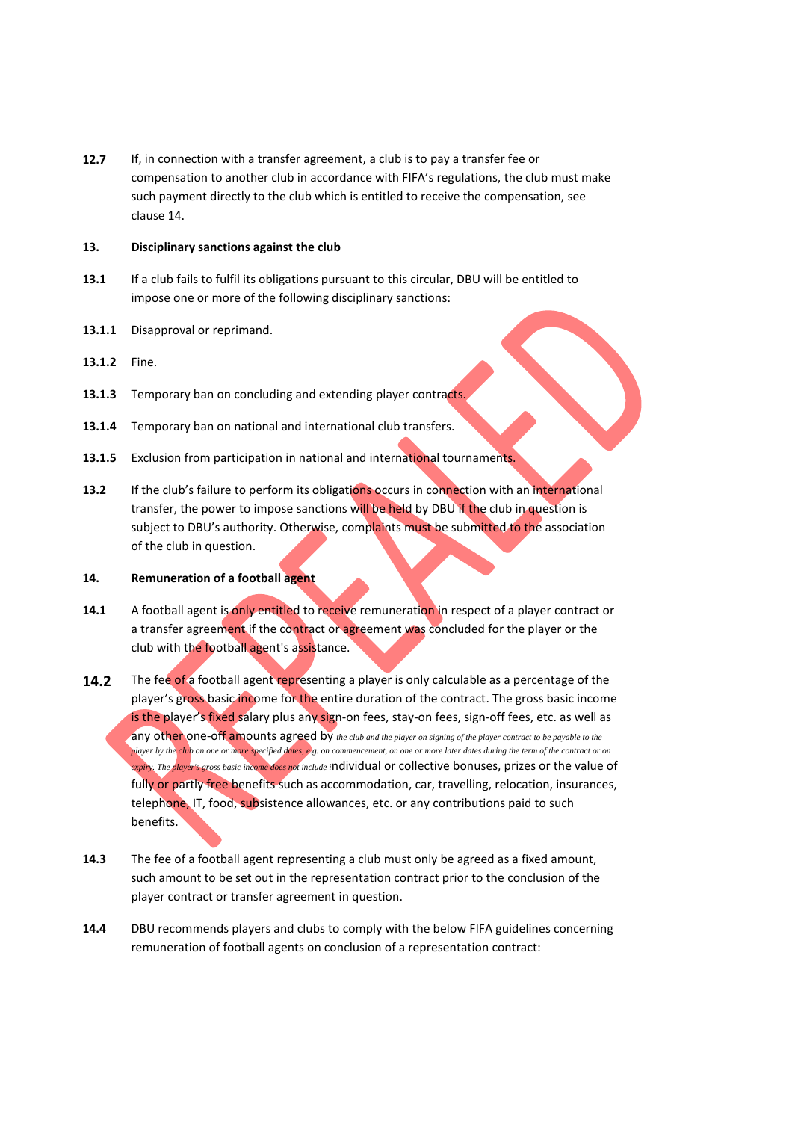**12.7** If, in connection with a transfer agreement, a club is to pay a transfer fee or compensation to another club in accordance with FIFA's regulations, the club must make such payment directly to the club which is entitled to receive the compensation, see clause 14.

#### **13. Disciplinary sanctions against the club**

- **13.1** If a club fails to fulfil its obligations pursuant to this circular, DBU will be entitled to impose one or more of the following disciplinary sanctions:
- **13.1.1** Disapproval or reprimand.
- **13.1.2** Fine.
- **13.1.3** Temporary ban on concluding and extending player contracts.
- **13.1.4** Temporary ban on national and international club transfers.
- **13.1.5** Exclusion from participation in national and international tournaments.
- **13.2** If the club's failure to perform its obligations occurs in connection with an international transfer, the power to impose sanctions will be held by DBU if the club in question is subject to DBU's authority. Otherwise, complaints must be submitted to the association of the club in question.

#### **14. Remuneration of a football agent**

- **14.1** A football agent is only entitled to receive remuneration in respect of a player contract or a transfer agreement if the contract or agreement was concluded for the player or the club with the football agent's assistance.
- **14.2** The fee of a football agent representing a player is only calculable as a percentage of the player's gross basic income for the entire duration of the contract. The gross basic income is the player's fixed salary plus any sign-on fees, stay-on fees, sign-off fees, etc. as well as any other one-off amounts agreed by the club and the player on signing of the player contract to be payable to the *player by the club on one or more specified dates, e.g. on commencement, on one or more later dates during the term of the contract or on expiry. The player's gross basic income does not include i*ndividual or collective bonuses, prizes or the value of fully or partly free benefits such as accommodation, car, travelling, relocation, insurances, telephone, IT, food, subsistence allowances, etc. or any contributions paid to such benefits.
- **14.3** The fee of a football agent representing a club must only be agreed as a fixed amount, such amount to be set out in the representation contract prior to the conclusion of the player contract or transfer agreement in question.
- **14.4** DBU recommends players and clubs to comply with the below FIFA guidelines concerning remuneration of football agents on conclusion of a representation contract: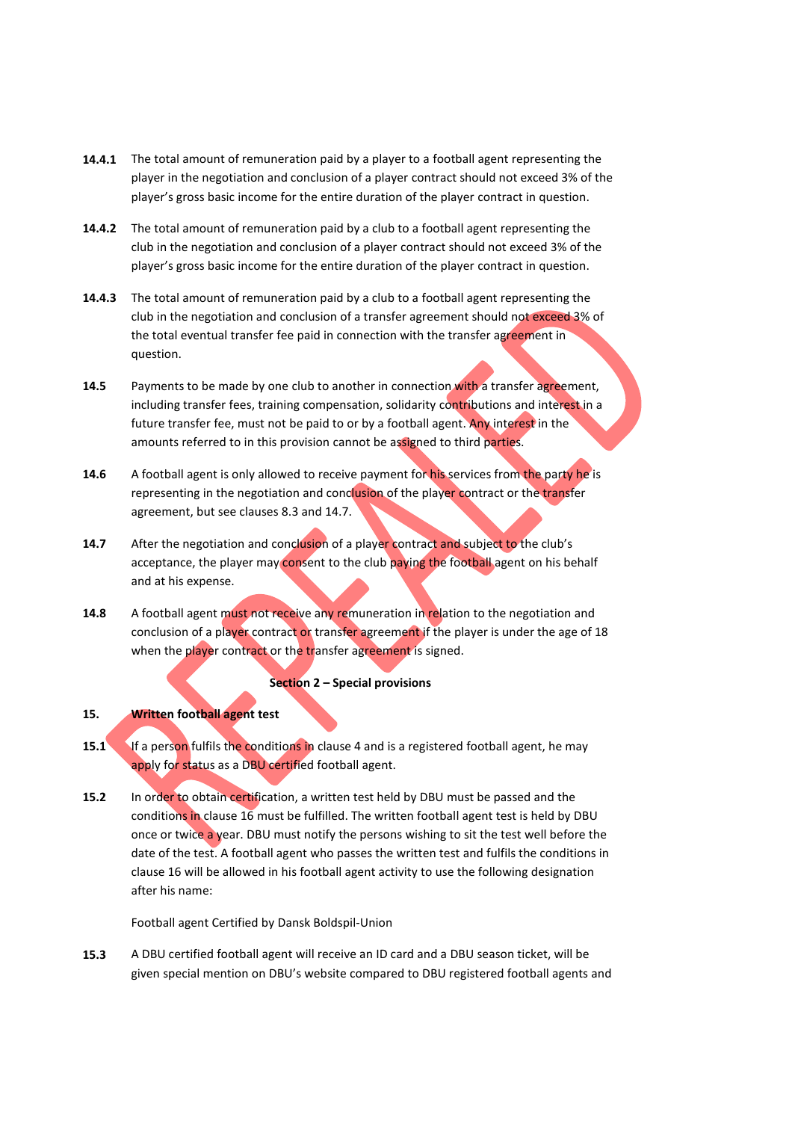- **14.4.1** The total amount of remuneration paid by a player to a football agent representing the player in the negotiation and conclusion of a player contract should not exceed 3% of the player's gross basic income for the entire duration of the player contract in question.
- **14.4.2** The total amount of remuneration paid by a club to a football agent representing the club in the negotiation and conclusion of a player contract should not exceed 3% of the player's gross basic income for the entire duration of the player contract in question.
- **14.4.3** The total amount of remuneration paid by a club to a football agent representing the club in the negotiation and conclusion of a transfer agreement should not exceed 3% of the total eventual transfer fee paid in connection with the transfer agreement in question.
- **14.5** Payments to be made by one club to another in connection with a transfer agreement, including transfer fees, training compensation, solidarity contributions and interest in a future transfer fee, must not be paid to or by a football agent. Any interest in the amounts referred to in this provision cannot be assigned to third parties.
- **14.6** A football agent is only allowed to receive payment for his services from the party he is representing in the negotiation and conclusion of the player contract or the transfer agreement, but see clauses 8.3 and 14.7.
- **14.7** After the negotiation and conclusion of a player contract and subject to the club's acceptance, the player may consent to the club paying the football agent on his behalf and at his expense.
- 14.8 A football agent must not receive any remuneration in relation to the negotiation and conclusion of a player contract or transfer agreement if the player is under the age of 18 when the player contract or the transfer agreement is signed.

## **Section 2 – Special provisions**

## **15. Written football agent test**

- **15.1** If a person fulfils the conditions in clause 4 and is a registered football agent, he may apply for status as a DBU certified football agent.
- **15.2** In order to obtain certification, a written test held by DBU must be passed and the conditions in clause 16 must be fulfilled. The written football agent test is held by DBU once or twice a year. DBU must notify the persons wishing to sit the test well before the date of the test. A football agent who passes the written test and fulfils the conditions in clause 16 will be allowed in his football agent activity to use the following designation after his name:

Football agent Certified by Dansk Boldspil-Union

**15.3** A DBU certified football agent will receive an ID card and a DBU season ticket, will be given special mention on DBU's website compared to DBU registered football agents and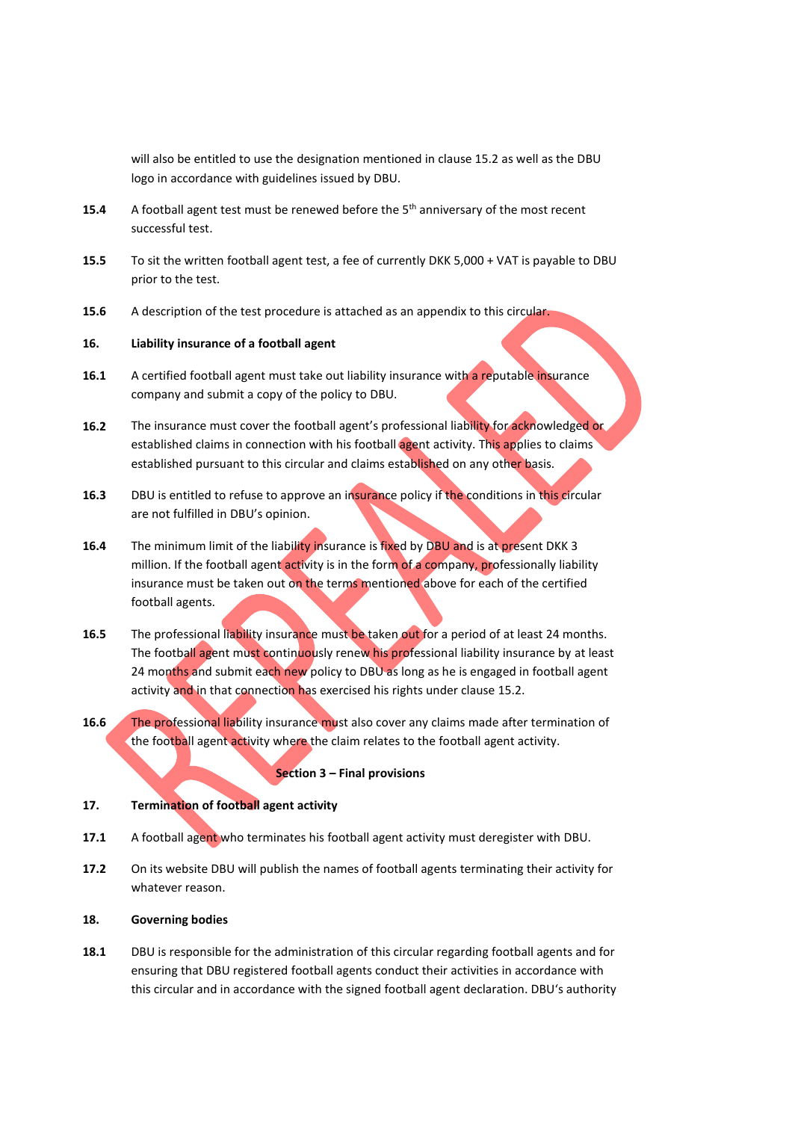will also be entitled to use the designation mentioned in clause 15.2 as well as the DBU logo in accordance with guidelines issued by DBU.

- **15.4** A football agent test must be renewed before the 5<sup>th</sup> anniversary of the most recent successful test.
- **15.5** To sit the written football agent test, a fee of currently DKK 5,000 + VAT is payable to DBU prior to the test.
- **15.6** A description of the test procedure is attached as an appendix to this circular.

## **16. Liability insurance of a football agent**

- **16.1** A certified football agent must take out liability insurance with a reputable insurance company and submit a copy of the policy to DBU.
- **16.2** The insurance must cover the football agent's professional liability for acknowledged or established claims in connection with his football agent activity. This applies to claims established pursuant to this circular and claims established on any other basis.
- **16.3** DBU is entitled to refuse to approve an insurance policy if the conditions in this circular are not fulfilled in DBU's opinion.
- **16.4** The minimum limit of the liability insurance is fixed by DBU and is at present DKK 3 million. If the football agent activity is in the form of a company, professionally liability insurance must be taken out on the terms mentioned above for each of the certified football agents.
- **16.5** The professional liability insurance must be taken out for a period of at least 24 months. The football agent must continuously renew his professional liability insurance by at least 24 months and submit each new policy to DBU as long as he is engaged in football agent activity and in that connection has exercised his rights under clause 15.2.
- **16.6** The professional liability insurance must also cover any claims made after termination of the football agent activity where the claim relates to the football agent activity.

#### **Section 3 – Final provisions**

## **17. Termination of football agent activity**

- **17.1** A football agent who terminates his football agent activity must deregister with DBU.
- **17.2** On its website DBU will publish the names of football agents terminating their activity for whatever reason.

#### **18. Governing bodies**

**18.1** DBU is responsible for the administration of this circular regarding football agents and for ensuring that DBU registered football agents conduct their activities in accordance with this circular and in accordance with the signed football agent declaration. DBU's authority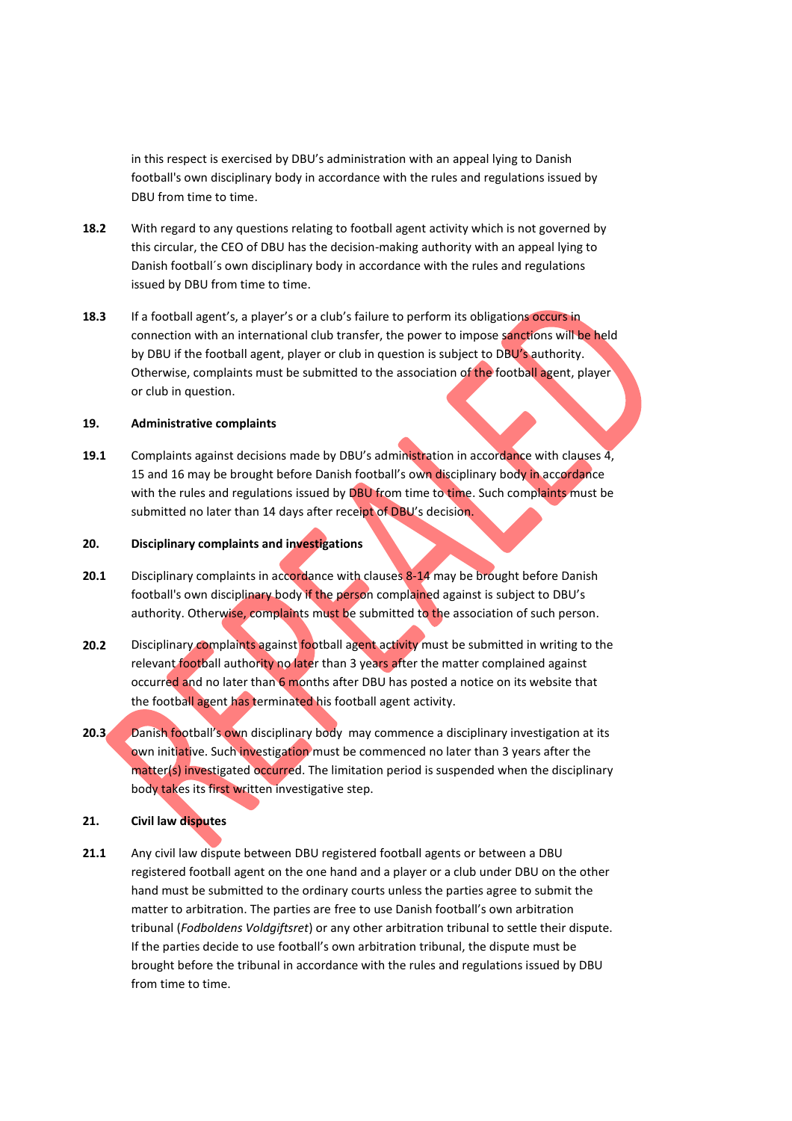in this respect is exercised by DBU's administration with an appeal lying to Danish football's own disciplinary body in accordance with the rules and regulations issued by DBU from time to time.

- **18.2** With regard to any questions relating to football agent activity which is not governed by this circular, the CEO of DBU has the decision-making authority with an appeal lying to Danish football´s own disciplinary body in accordance with the rules and regulations issued by DBU from time to time.
- **18.3** If a football agent's, a player's or a club's failure to perform its obligations occurs in connection with an international club transfer, the power to impose sanctions will be held by DBU if the football agent, player or club in question is subject to DBU's authority. Otherwise, complaints must be submitted to the association of the football agent, player or club in question.

#### **19. Administrative complaints**

**19.1** Complaints against decisions made by DBU's administration in accordance with clauses 4, 15 and 16 may be brought before Danish football's own disciplinary body in accordance with the rules and regulations issued by DBU from time to time. Such complaints must be submitted no later than 14 days after receipt of DBU's decision.

## **20. Disciplinary complaints and investigations**

- **20.1** Disciplinary complaints in accordance with clauses 8-14 may be brought before Danish football's own disciplinary body if the person complained against is subject to DBU's authority. Otherwise, complaints must be submitted to the association of such person.
- **20.2** Disciplinary complaints against football agent activity must be submitted in writing to the relevant football authority no later than 3 years after the matter complained against occurred and no later than 6 months after DBU has posted a notice on its website that the football agent has terminated his football agent activity.
- 20.3 Danish football's own disciplinary body may commence a disciplinary investigation at its own initiative. Such investigation must be commenced no later than 3 years after the matter(s) investigated occurred. The limitation period is suspended when the disciplinary body takes its first written investigative step.

## **21. Civil law disputes**

**21.1** Any civil law dispute between DBU registered football agents or between a DBU registered football agent on the one hand and a player or a club under DBU on the other hand must be submitted to the ordinary courts unless the parties agree to submit the matter to arbitration. The parties are free to use Danish football's own arbitration tribunal (*Fodboldens Voldgiftsret*) or any other arbitration tribunal to settle their dispute. If the parties decide to use football's own arbitration tribunal, the dispute must be brought before the tribunal in accordance with the rules and regulations issued by DBU from time to time.